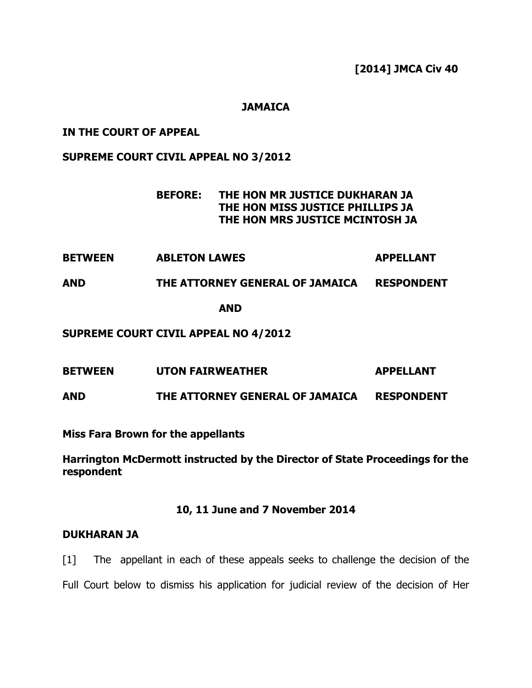**[2014] JMCA Civ 40** 

### **JAMAICA**

#### **IN THE COURT OF APPEAL**

#### **SUPREME COURT CIVIL APPEAL NO 3/2012**

## **BEFORE: THE HON MR JUSTICE DUKHARAN JA THE HON MISS JUSTICE PHILLIPS JA THE HON MRS JUSTICE MCINTOSH JA**

**BETWEEN ABLETON LAWES APPELLANT** 

# **AND THE ATTORNEY GENERAL OF JAMAICA RESPONDENT**

**AND** 

#### **SUPREME COURT CIVIL APPEAL NO 4/2012**

**BETWEEN UTON FAIRWEATHER APPELLANT** 

**AND THE ATTORNEY GENERAL OF JAMAICA RESPONDENT** 

**Miss Fara Brown for the appellants** 

**Harrington McDermott instructed by the Director of State Proceedings for the respondent** 

#### **10, 11 June and 7 November 2014**

#### **DUKHARAN JA**

[1] The appellant in each of these appeals seeks to challenge the decision of the Full Court below to dismiss his application for judicial review of the decision of Her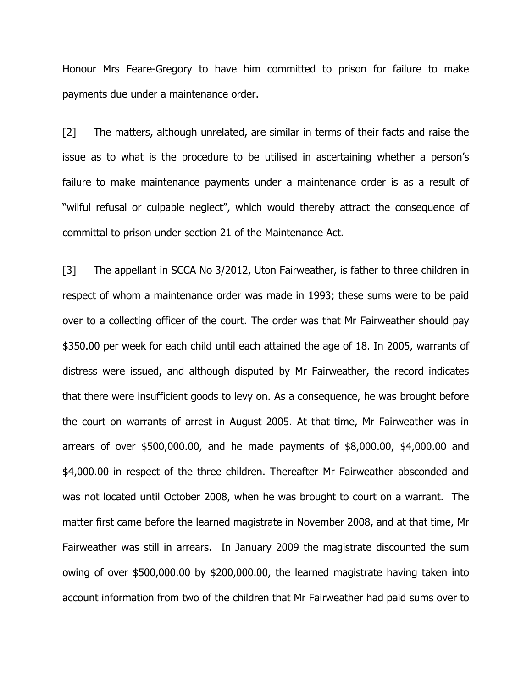Honour Mrs Feare-Gregory to have him committed to prison for failure to make payments due under a maintenance order.

[2] The matters, although unrelated, are similar in terms of their facts and raise the issue as to what is the procedure to be utilised in ascertaining whether a person's failure to make maintenance payments under a maintenance order is as a result of "wilful refusal or culpable neglect", which would thereby attract the consequence of committal to prison under section 21 of the Maintenance Act.

[3] The appellant in SCCA No 3/2012, Uton Fairweather, is father to three children in respect of whom a maintenance order was made in 1993; these sums were to be paid over to a collecting officer of the court. The order was that Mr Fairweather should pay \$350.00 per week for each child until each attained the age of 18. In 2005, warrants of distress were issued, and although disputed by Mr Fairweather, the record indicates that there were insufficient goods to levy on. As a consequence, he was brought before the court on warrants of arrest in August 2005. At that time, Mr Fairweather was in arrears of over \$500,000.00, and he made payments of \$8,000.00, \$4,000.00 and \$4,000.00 in respect of the three children. Thereafter Mr Fairweather absconded and was not located until October 2008, when he was brought to court on a warrant. The matter first came before the learned magistrate in November 2008, and at that time, Mr Fairweather was still in arrears. In January 2009 the magistrate discounted the sum owing of over \$500,000.00 by \$200,000.00, the learned magistrate having taken into account information from two of the children that Mr Fairweather had paid sums over to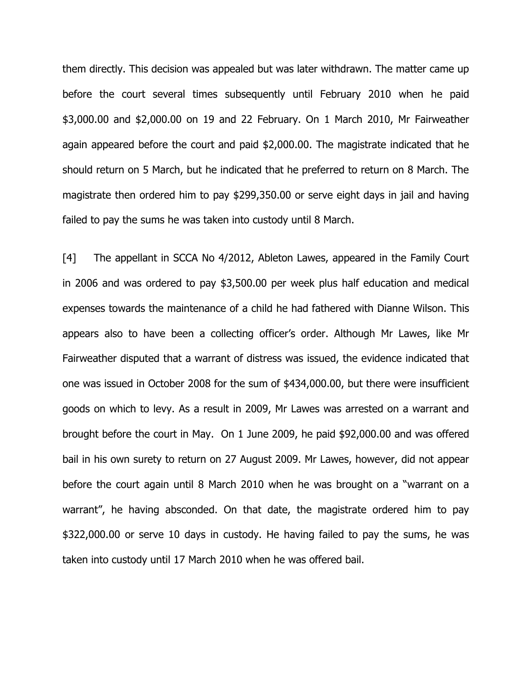them directly. This decision was appealed but was later withdrawn. The matter came up before the court several times subsequently until February 2010 when he paid \$3,000.00 and \$2,000.00 on 19 and 22 February. On 1 March 2010, Mr Fairweather again appeared before the court and paid \$2,000.00. The magistrate indicated that he should return on 5 March, but he indicated that he preferred to return on 8 March. The magistrate then ordered him to pay \$299,350.00 or serve eight days in jail and having failed to pay the sums he was taken into custody until 8 March.

[4] The appellant in SCCA No 4/2012, Ableton Lawes, appeared in the Family Court in 2006 and was ordered to pay \$3,500.00 per week plus half education and medical expenses towards the maintenance of a child he had fathered with Dianne Wilson. This appears also to have been a collecting officer's order. Although Mr Lawes, like Mr Fairweather disputed that a warrant of distress was issued, the evidence indicated that one was issued in October 2008 for the sum of \$434,000.00, but there were insufficient goods on which to levy. As a result in 2009, Mr Lawes was arrested on a warrant and brought before the court in May. On 1 June 2009, he paid \$92,000.00 and was offered bail in his own surety to return on 27 August 2009. Mr Lawes, however, did not appear before the court again until 8 March 2010 when he was brought on a "warrant on a warrant", he having absconded. On that date, the magistrate ordered him to pay \$322,000.00 or serve 10 days in custody. He having failed to pay the sums, he was taken into custody until 17 March 2010 when he was offered bail.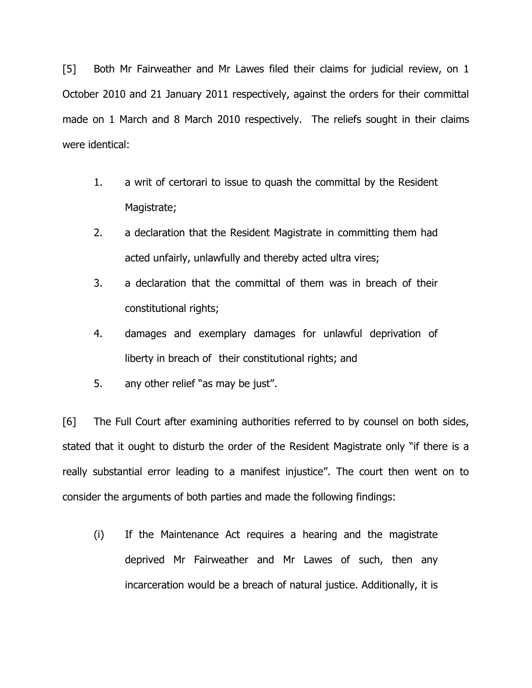[5] Both Mr Fairweather and Mr Lawes filed their claims for judicial review, on 1 October 2010 and 21 January 2011 respectively, against the orders for their committal made on 1 March and 8 March 2010 respectively. The reliefs sought in their claims were identical:

- 1. a writ of certorari to issue to quash the committal by the Resident Magistrate;
- 2. a declaration that the Resident Magistrate in committing them had acted unfairly, unlawfully and thereby acted ultra vires;
- 3. a declaration that the committal of them was in breach of their constitutional rights;
- 4. damages and exemplary damages for unlawful deprivation of liberty in breach of their constitutional rights; and
- 5. any other relief "as may be just".

[6] The Full Court after examining authorities referred to by counsel on both sides, stated that it ought to disturb the order of the Resident Magistrate only "if there is a really substantial error leading to a manifest injustice". The court then went on to consider the arguments of both parties and made the following findings:

(i) If the Maintenance Act requires a hearing and the magistrate deprived Mr Fairweather and Mr Lawes of such, then any incarceration would be a breach of natural justice. Additionally, it is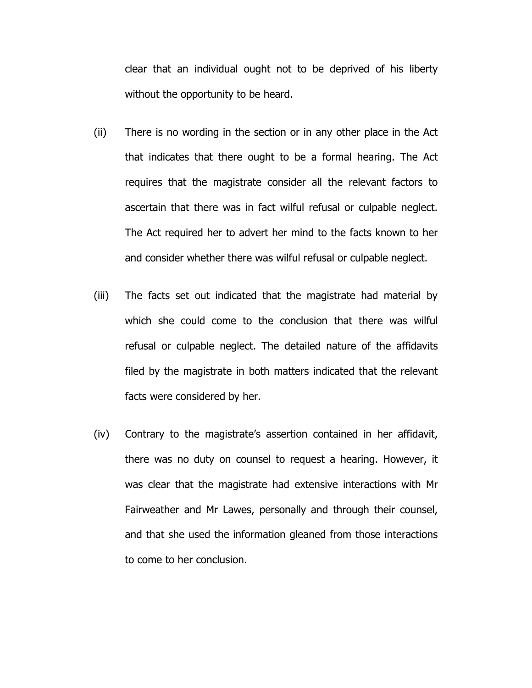clear that an individual ought not to be deprived of his liberty without the opportunity to be heard.

- (ii) There is no wording in the section or in any other place in the Act that indicates that there ought to be a formal hearing. The Act requires that the magistrate consider all the relevant factors to ascertain that there was in fact wilful refusal or culpable neglect. The Act required her to advert her mind to the facts known to her and consider whether there was wilful refusal or culpable neglect.
- (iii) The facts set out indicated that the magistrate had material by which she could come to the conclusion that there was wilful refusal or culpable neglect. The detailed nature of the affidavits filed by the magistrate in both matters indicated that the relevant facts were considered by her.
- (iv) Contrary to the magistrate's assertion contained in her affidavit, there was no duty on counsel to request a hearing. However, it was clear that the magistrate had extensive interactions with Mr Fairweather and Mr Lawes, personally and through their counsel, and that she used the information gleaned from those interactions to come to her conclusion.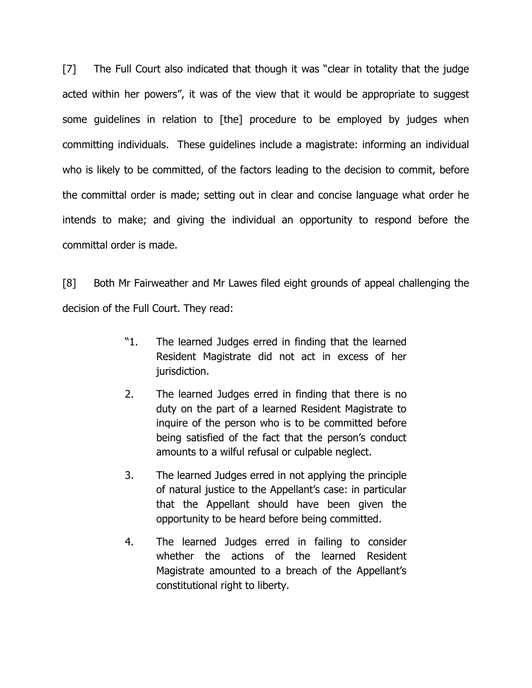[7] The Full Court also indicated that though it was "clear in totality that the judge acted within her powers", it was of the view that it would be appropriate to suggest some guidelines in relation to [the] procedure to be employed by judges when committing individuals. These guidelines include a magistrate: informing an individual who is likely to be committed, of the factors leading to the decision to commit, before the committal order is made; setting out in clear and concise language what order he intends to make; and giving the individual an opportunity to respond before the committal order is made.

[8] Both Mr Fairweather and Mr Lawes filed eight grounds of appeal challenging the decision of the Full Court. They read:

- "1. The learned Judges erred in finding that the learned Resident Magistrate did not act in excess of her jurisdiction.
- 2. The learned Judges erred in finding that there is no duty on the part of a learned Resident Magistrate to inquire of the person who is to be committed before being satisfied of the fact that the person's conduct amounts to a wilful refusal or culpable neglect.
- 3. The learned Judges erred in not applying the principle of natural justice to the Appellant's case: in particular that the Appellant should have been given the opportunity to be heard before being committed.
- 4. The learned Judges erred in failing to consider whether the actions of the learned Resident Magistrate amounted to a breach of the Appellant's constitutional right to liberty.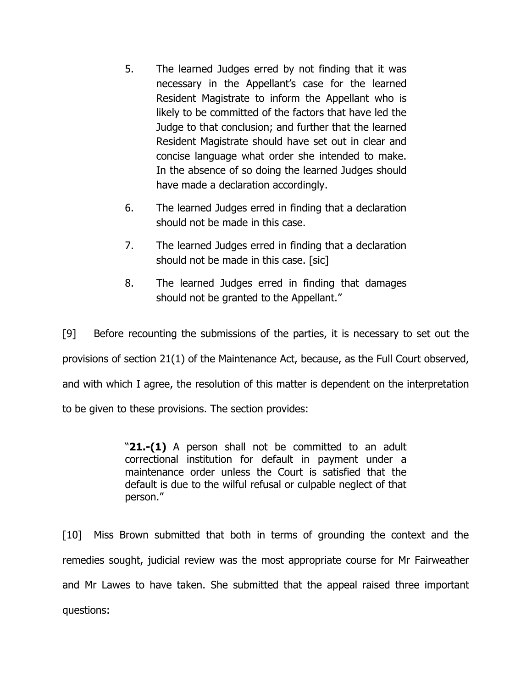- 5. The learned Judges erred by not finding that it was necessary in the Appellant's case for the learned Resident Magistrate to inform the Appellant who is likely to be committed of the factors that have led the Judge to that conclusion; and further that the learned Resident Magistrate should have set out in clear and concise language what order she intended to make. In the absence of so doing the learned Judges should have made a declaration accordingly.
- 6. The learned Judges erred in finding that a declaration should not be made in this case.
- 7. The learned Judges erred in finding that a declaration should not be made in this case. [sic]
- 8. The learned Judges erred in finding that damages should not be granted to the Appellant."

[9] Before recounting the submissions of the parties, it is necessary to set out the provisions of section 21(1) of the Maintenance Act, because, as the Full Court observed, and with which I agree, the resolution of this matter is dependent on the interpretation to be given to these provisions. The section provides:

> "**21.-(1)** A person shall not be committed to an adult correctional institution for default in payment under a maintenance order unless the Court is satisfied that the default is due to the wilful refusal or culpable neglect of that person."

[10] Miss Brown submitted that both in terms of grounding the context and the remedies sought, judicial review was the most appropriate course for Mr Fairweather and Mr Lawes to have taken. She submitted that the appeal raised three important questions: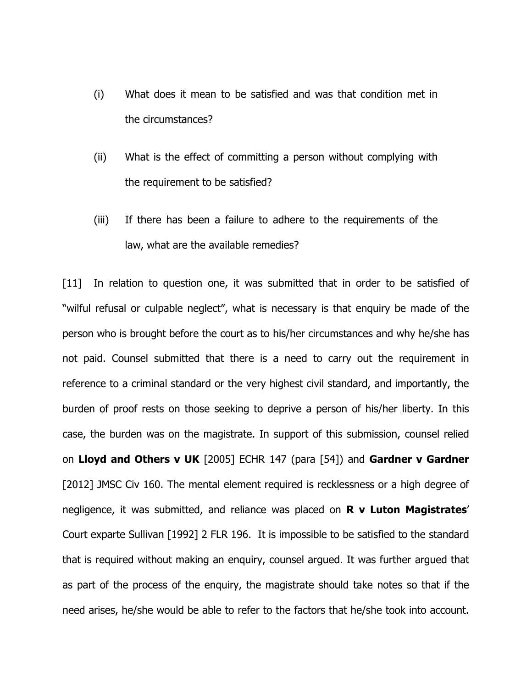- (i) What does it mean to be satisfied and was that condition met in the circumstances?
- (ii) What is the effect of committing a person without complying with the requirement to be satisfied?
- (iii) If there has been a failure to adhere to the requirements of the law, what are the available remedies?

[11] In relation to question one, it was submitted that in order to be satisfied of "wilful refusal or culpable neglect", what is necessary is that enquiry be made of the person who is brought before the court as to his/her circumstances and why he/she has not paid. Counsel submitted that there is a need to carry out the requirement in reference to a criminal standard or the very highest civil standard, and importantly, the burden of proof rests on those seeking to deprive a person of his/her liberty. In this case, the burden was on the magistrate. In support of this submission, counsel relied on **Lloyd and Others v UK** [2005] ECHR 147 (para [54]) and **Gardner v Gardner** [2012] JMSC Civ 160. The mental element required is recklessness or a high degree of negligence, it was submitted, and reliance was placed on **R v Luton Magistrates**' Court exparte Sullivan [1992] 2 FLR 196. It is impossible to be satisfied to the standard that is required without making an enquiry, counsel argued. It was further argued that as part of the process of the enquiry, the magistrate should take notes so that if the need arises, he/she would be able to refer to the factors that he/she took into account.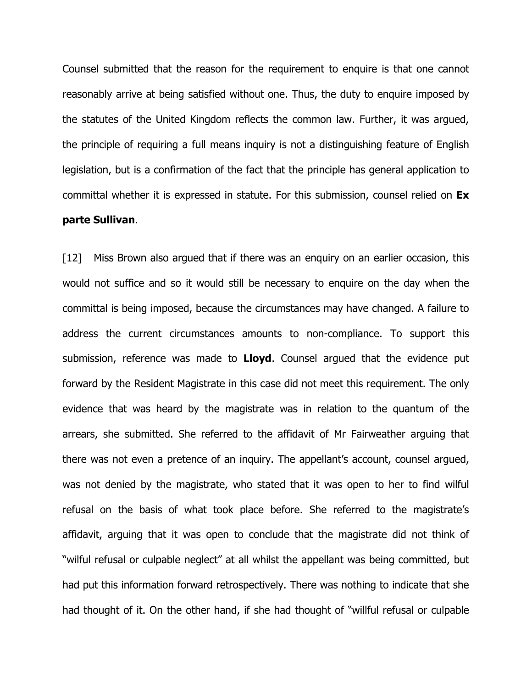Counsel submitted that the reason for the requirement to enquire is that one cannot reasonably arrive at being satisfied without one. Thus, the duty to enquire imposed by the statutes of the United Kingdom reflects the common law. Further, it was argued, the principle of requiring a full means inquiry is not a distinguishing feature of English legislation, but is a confirmation of the fact that the principle has general application to committal whether it is expressed in statute. For this submission, counsel relied on **Ex parte Sullivan**.

[12] Miss Brown also argued that if there was an enguiry on an earlier occasion, this would not suffice and so it would still be necessary to enquire on the day when the committal is being imposed, because the circumstances may have changed. A failure to address the current circumstances amounts to non-compliance. To support this submission, reference was made to **Lloyd**. Counsel argued that the evidence put forward by the Resident Magistrate in this case did not meet this requirement. The only evidence that was heard by the magistrate was in relation to the quantum of the arrears, she submitted. She referred to the affidavit of Mr Fairweather arguing that there was not even a pretence of an inquiry. The appellant's account, counsel argued, was not denied by the magistrate, who stated that it was open to her to find wilful refusal on the basis of what took place before. She referred to the magistrate's affidavit, arguing that it was open to conclude that the magistrate did not think of "wilful refusal or culpable neglect" at all whilst the appellant was being committed, but had put this information forward retrospectively. There was nothing to indicate that she had thought of it. On the other hand, if she had thought of "willful refusal or culpable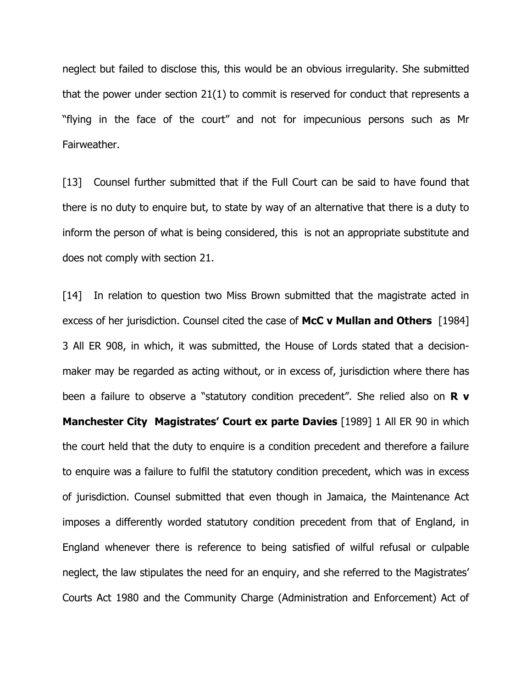neglect but failed to disclose this, this would be an obvious irregularity. She submitted that the power under section 21(1) to commit is reserved for conduct that represents a "flying in the face of the court" and not for impecunious persons such as Mr Fairweather.

[13] Counsel further submitted that if the Full Court can be said to have found that there is no duty to enquire but, to state by way of an alternative that there is a duty to inform the person of what is being considered, this is not an appropriate substitute and does not comply with section 21.

[14] In relation to question two Miss Brown submitted that the magistrate acted in excess of her jurisdiction. Counsel cited the case of **McC v Mullan and Others** [1984] 3 All ER 908, in which, it was submitted, the House of Lords stated that a decisionmaker may be regarded as acting without, or in excess of, jurisdiction where there has been a failure to observe a "statutory condition precedent". She relied also on **R v Manchester City Magistrates' Court ex parte Davies** [1989] 1 All ER 90 in which the court held that the duty to enquire is a condition precedent and therefore a failure to enquire was a failure to fulfil the statutory condition precedent, which was in excess of jurisdiction. Counsel submitted that even though in Jamaica, the Maintenance Act imposes a differently worded statutory condition precedent from that of England, in England whenever there is reference to being satisfied of wilful refusal or culpable neglect, the law stipulates the need for an enquiry, and she referred to the Magistrates' Courts Act 1980 and the Community Charge (Administration and Enforcement) Act of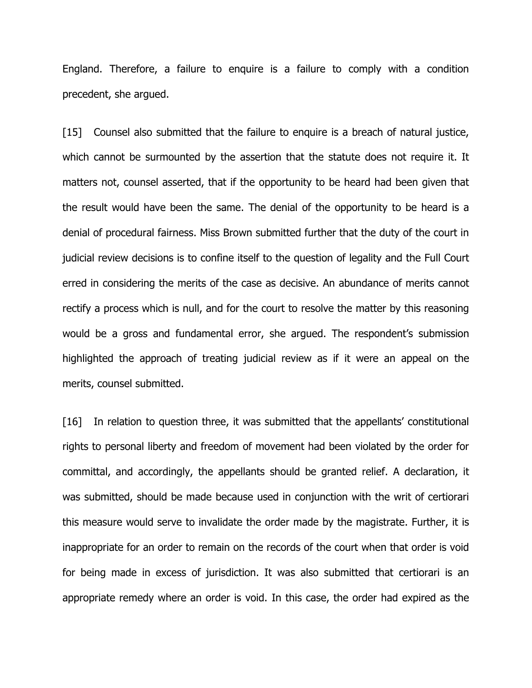England. Therefore, a failure to enquire is a failure to comply with a condition precedent, she argued.

[15] Counsel also submitted that the failure to enquire is a breach of natural justice, which cannot be surmounted by the assertion that the statute does not require it. It matters not, counsel asserted, that if the opportunity to be heard had been given that the result would have been the same. The denial of the opportunity to be heard is a denial of procedural fairness. Miss Brown submitted further that the duty of the court in judicial review decisions is to confine itself to the question of legality and the Full Court erred in considering the merits of the case as decisive. An abundance of merits cannot rectify a process which is null, and for the court to resolve the matter by this reasoning would be a gross and fundamental error, she argued. The respondent's submission highlighted the approach of treating judicial review as if it were an appeal on the merits, counsel submitted.

[16] In relation to question three, it was submitted that the appellants' constitutional rights to personal liberty and freedom of movement had been violated by the order for committal, and accordingly, the appellants should be granted relief. A declaration, it was submitted, should be made because used in conjunction with the writ of certiorari this measure would serve to invalidate the order made by the magistrate. Further, it is inappropriate for an order to remain on the records of the court when that order is void for being made in excess of jurisdiction. It was also submitted that certiorari is an appropriate remedy where an order is void. In this case, the order had expired as the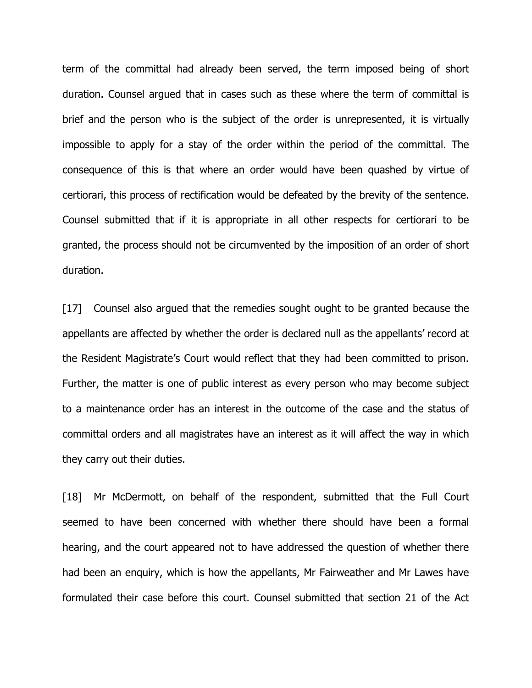term of the committal had already been served, the term imposed being of short duration. Counsel argued that in cases such as these where the term of committal is brief and the person who is the subject of the order is unrepresented, it is virtually impossible to apply for a stay of the order within the period of the committal. The consequence of this is that where an order would have been quashed by virtue of certiorari, this process of rectification would be defeated by the brevity of the sentence. Counsel submitted that if it is appropriate in all other respects for certiorari to be granted, the process should not be circumvented by the imposition of an order of short duration.

[17] Counsel also argued that the remedies sought ought to be granted because the appellants are affected by whether the order is declared null as the appellants' record at the Resident Magistrate's Court would reflect that they had been committed to prison. Further, the matter is one of public interest as every person who may become subject to a maintenance order has an interest in the outcome of the case and the status of committal orders and all magistrates have an interest as it will affect the way in which they carry out their duties.

[18] Mr McDermott, on behalf of the respondent, submitted that the Full Court seemed to have been concerned with whether there should have been a formal hearing, and the court appeared not to have addressed the question of whether there had been an enquiry, which is how the appellants, Mr Fairweather and Mr Lawes have formulated their case before this court. Counsel submitted that section 21 of the Act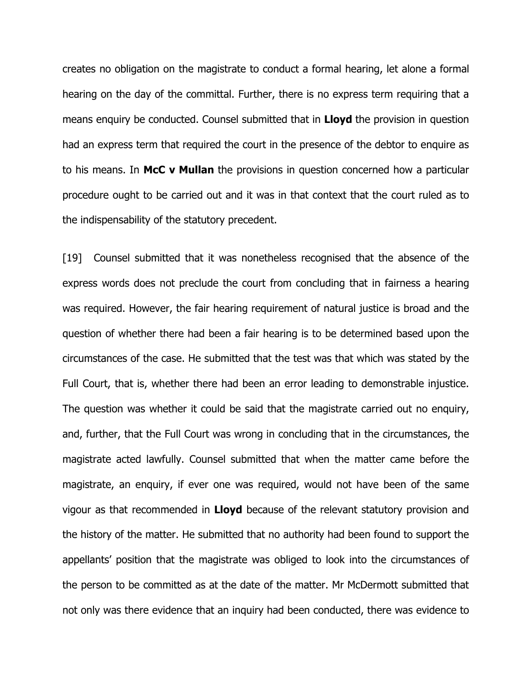creates no obligation on the magistrate to conduct a formal hearing, let alone a formal hearing on the day of the committal. Further, there is no express term requiring that a means enquiry be conducted. Counsel submitted that in **Lloyd** the provision in question had an express term that required the court in the presence of the debtor to enquire as to his means. In **McC v Mullan** the provisions in question concerned how a particular procedure ought to be carried out and it was in that context that the court ruled as to the indispensability of the statutory precedent.

[19] Counsel submitted that it was nonetheless recognised that the absence of the express words does not preclude the court from concluding that in fairness a hearing was required. However, the fair hearing requirement of natural justice is broad and the question of whether there had been a fair hearing is to be determined based upon the circumstances of the case. He submitted that the test was that which was stated by the Full Court, that is, whether there had been an error leading to demonstrable injustice. The question was whether it could be said that the magistrate carried out no enquiry, and, further, that the Full Court was wrong in concluding that in the circumstances, the magistrate acted lawfully. Counsel submitted that when the matter came before the magistrate, an enquiry, if ever one was required, would not have been of the same vigour as that recommended in **Lloyd** because of the relevant statutory provision and the history of the matter. He submitted that no authority had been found to support the appellants' position that the magistrate was obliged to look into the circumstances of the person to be committed as at the date of the matter. Mr McDermott submitted that not only was there evidence that an inquiry had been conducted, there was evidence to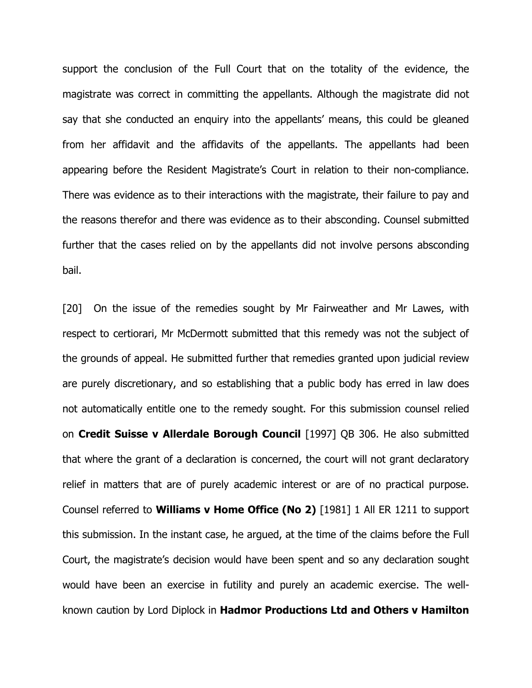support the conclusion of the Full Court that on the totality of the evidence, the magistrate was correct in committing the appellants. Although the magistrate did not say that she conducted an enquiry into the appellants' means, this could be gleaned from her affidavit and the affidavits of the appellants. The appellants had been appearing before the Resident Magistrate's Court in relation to their non-compliance. There was evidence as to their interactions with the magistrate, their failure to pay and the reasons therefor and there was evidence as to their absconding. Counsel submitted further that the cases relied on by the appellants did not involve persons absconding bail.

[20] On the issue of the remedies sought by Mr Fairweather and Mr Lawes, with respect to certiorari, Mr McDermott submitted that this remedy was not the subject of the grounds of appeal. He submitted further that remedies granted upon judicial review are purely discretionary, and so establishing that a public body has erred in law does not automatically entitle one to the remedy sought. For this submission counsel relied on **Credit Suisse v Allerdale Borough Council** [1997] QB 306. He also submitted that where the grant of a declaration is concerned, the court will not grant declaratory relief in matters that are of purely academic interest or are of no practical purpose. Counsel referred to **Williams v Home Office (No 2)** [1981] 1 All ER 1211 to support this submission. In the instant case, he argued, at the time of the claims before the Full Court, the magistrate's decision would have been spent and so any declaration sought would have been an exercise in futility and purely an academic exercise. The wellknown caution by Lord Diplock in **Hadmor Productions Ltd and Others v Hamilton**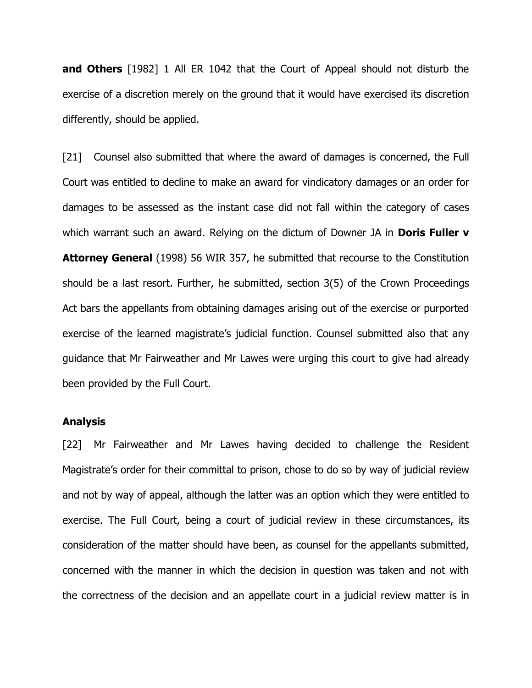**and Others** [1982] 1 All ER 1042 that the Court of Appeal should not disturb the exercise of a discretion merely on the ground that it would have exercised its discretion differently, should be applied.

[21] Counsel also submitted that where the award of damages is concerned, the Full Court was entitled to decline to make an award for vindicatory damages or an order for damages to be assessed as the instant case did not fall within the category of cases which warrant such an award. Relying on the dictum of Downer JA in **Doris Fuller v Attorney General** (1998) 56 WIR 357, he submitted that recourse to the Constitution should be a last resort. Further, he submitted, section 3(5) of the Crown Proceedings Act bars the appellants from obtaining damages arising out of the exercise or purported exercise of the learned magistrate's judicial function. Counsel submitted also that any guidance that Mr Fairweather and Mr Lawes were urging this court to give had already been provided by the Full Court.

#### **Analysis**

[22] Mr Fairweather and Mr Lawes having decided to challenge the Resident Magistrate's order for their committal to prison, chose to do so by way of judicial review and not by way of appeal, although the latter was an option which they were entitled to exercise. The Full Court, being a court of judicial review in these circumstances, its consideration of the matter should have been, as counsel for the appellants submitted, concerned with the manner in which the decision in question was taken and not with the correctness of the decision and an appellate court in a judicial review matter is in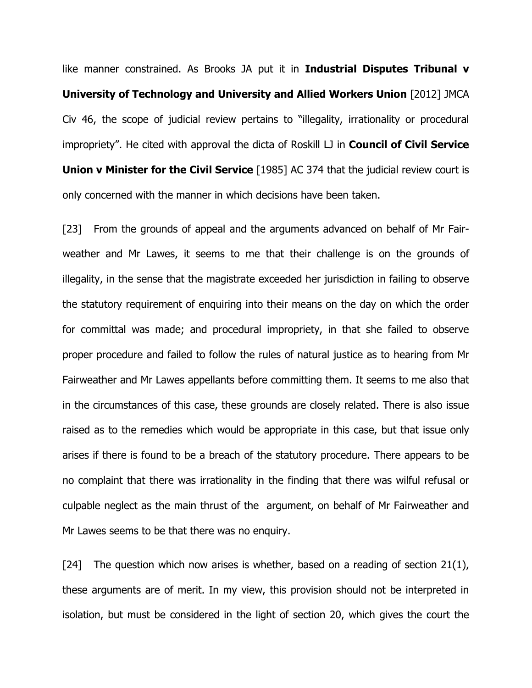like manner constrained. As Brooks JA put it in **Industrial Disputes Tribunal v University of Technology and University and Allied Workers Union** [2012] JMCA Civ 46, the scope of judicial review pertains to "illegality, irrationality or procedural impropriety". He cited with approval the dicta of Roskill LJ in **Council of Civil Service Union v Minister for the Civil Service** [1985] AC 374 that the judicial review court is only concerned with the manner in which decisions have been taken.

[23] From the grounds of appeal and the arguments advanced on behalf of Mr Fairweather and Mr Lawes, it seems to me that their challenge is on the grounds of illegality, in the sense that the magistrate exceeded her jurisdiction in failing to observe the statutory requirement of enquiring into their means on the day on which the order for committal was made; and procedural impropriety, in that she failed to observe proper procedure and failed to follow the rules of natural justice as to hearing from Mr Fairweather and Mr Lawes appellants before committing them. It seems to me also that in the circumstances of this case, these grounds are closely related. There is also issue raised as to the remedies which would be appropriate in this case, but that issue only arises if there is found to be a breach of the statutory procedure. There appears to be no complaint that there was irrationality in the finding that there was wilful refusal or culpable neglect as the main thrust of the argument, on behalf of Mr Fairweather and Mr Lawes seems to be that there was no enquiry.

[24] The question which now arises is whether, based on a reading of section  $21(1)$ , these arguments are of merit. In my view, this provision should not be interpreted in isolation, but must be considered in the light of section 20, which gives the court the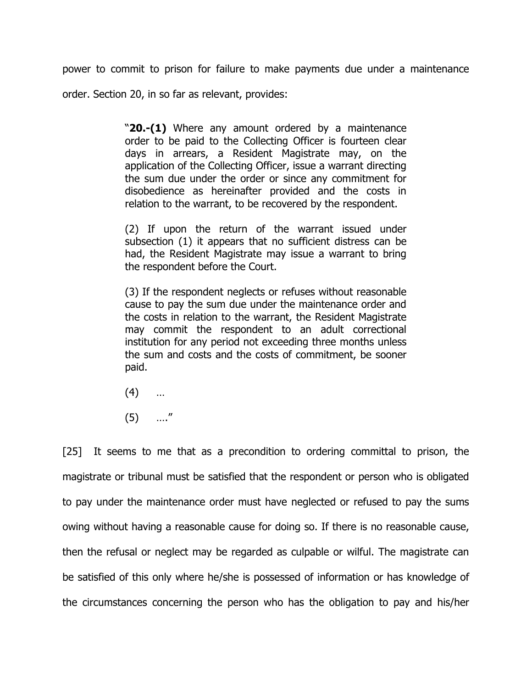power to commit to prison for failure to make payments due under a maintenance order. Section 20, in so far as relevant, provides:

> "**20.-(1)** Where any amount ordered by a maintenance order to be paid to the Collecting Officer is fourteen clear days in arrears, a Resident Magistrate may, on the application of the Collecting Officer, issue a warrant directing the sum due under the order or since any commitment for disobedience as hereinafter provided and the costs in relation to the warrant, to be recovered by the respondent.

> (2) If upon the return of the warrant issued under subsection (1) it appears that no sufficient distress can be had, the Resident Magistrate may issue a warrant to bring the respondent before the Court.

> (3) If the respondent neglects or refuses without reasonable cause to pay the sum due under the maintenance order and the costs in relation to the warrant, the Resident Magistrate may commit the respondent to an adult correctional institution for any period not exceeding three months unless the sum and costs and the costs of commitment, be sooner paid.

- $(4)$  …
- $(5)$  …."

[25] It seems to me that as a precondition to ordering committal to prison, the magistrate or tribunal must be satisfied that the respondent or person who is obligated to pay under the maintenance order must have neglected or refused to pay the sums owing without having a reasonable cause for doing so. If there is no reasonable cause, then the refusal or neglect may be regarded as culpable or wilful. The magistrate can be satisfied of this only where he/she is possessed of information or has knowledge of the circumstances concerning the person who has the obligation to pay and his/her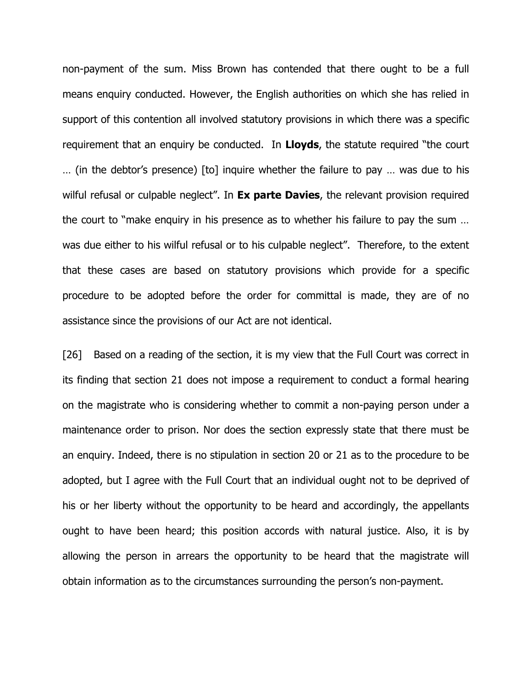non-payment of the sum. Miss Brown has contended that there ought to be a full means enquiry conducted. However, the English authorities on which she has relied in support of this contention all involved statutory provisions in which there was a specific requirement that an enquiry be conducted. In **Lloyds**, the statute required "the court … (in the debtor's presence) [to] inquire whether the failure to pay … was due to his wilful refusal or culpable neglect". In **Ex parte Davies**, the relevant provision required the court to "make enquiry in his presence as to whether his failure to pay the sum … was due either to his wilful refusal or to his culpable neglect". Therefore, to the extent that these cases are based on statutory provisions which provide for a specific procedure to be adopted before the order for committal is made, they are of no assistance since the provisions of our Act are not identical.

[26] Based on a reading of the section, it is my view that the Full Court was correct in its finding that section 21 does not impose a requirement to conduct a formal hearing on the magistrate who is considering whether to commit a non-paying person under a maintenance order to prison. Nor does the section expressly state that there must be an enquiry. Indeed, there is no stipulation in section 20 or 21 as to the procedure to be adopted, but I agree with the Full Court that an individual ought not to be deprived of his or her liberty without the opportunity to be heard and accordingly, the appellants ought to have been heard; this position accords with natural justice. Also, it is by allowing the person in arrears the opportunity to be heard that the magistrate will obtain information as to the circumstances surrounding the person's non-payment.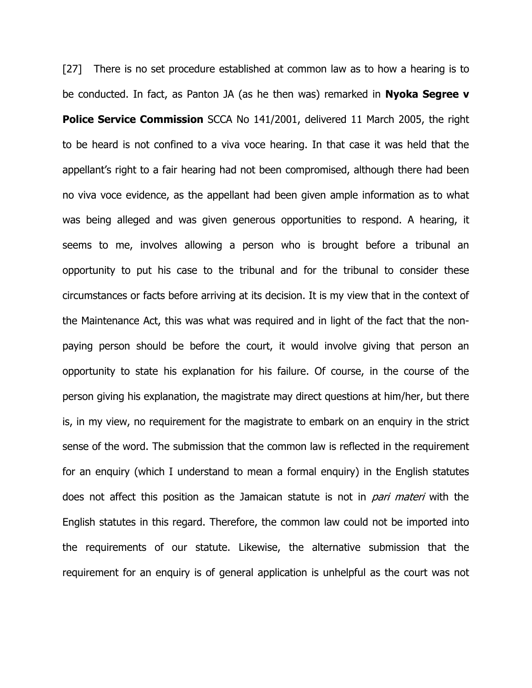[27] There is no set procedure established at common law as to how a hearing is to be conducted. In fact, as Panton JA (as he then was) remarked in **Nyoka Segree v Police Service Commission** SCCA No 141/2001, delivered 11 March 2005, the right to be heard is not confined to a viva voce hearing. In that case it was held that the appellant's right to a fair hearing had not been compromised, although there had been no viva voce evidence, as the appellant had been given ample information as to what was being alleged and was given generous opportunities to respond. A hearing, it seems to me, involves allowing a person who is brought before a tribunal an opportunity to put his case to the tribunal and for the tribunal to consider these circumstances or facts before arriving at its decision. It is my view that in the context of the Maintenance Act, this was what was required and in light of the fact that the nonpaying person should be before the court, it would involve giving that person an opportunity to state his explanation for his failure. Of course, in the course of the person giving his explanation, the magistrate may direct questions at him/her, but there is, in my view, no requirement for the magistrate to embark on an enquiry in the strict sense of the word. The submission that the common law is reflected in the requirement for an enquiry (which I understand to mean a formal enquiry) in the English statutes does not affect this position as the Jamaican statute is not in *pari materi* with the English statutes in this regard. Therefore, the common law could not be imported into the requirements of our statute. Likewise, the alternative submission that the requirement for an enquiry is of general application is unhelpful as the court was not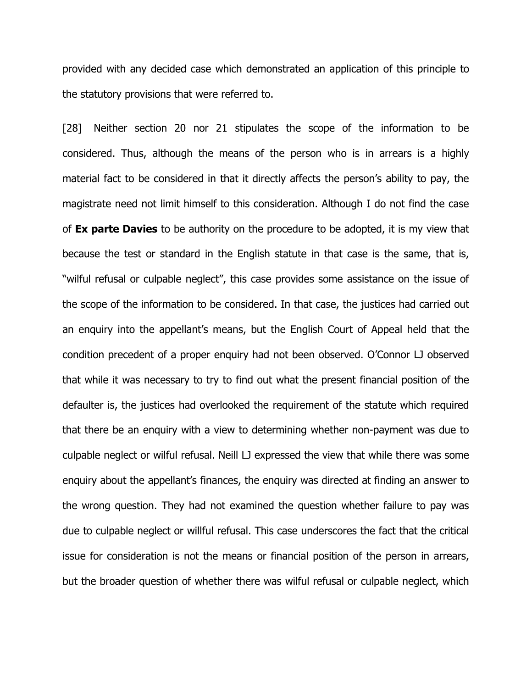provided with any decided case which demonstrated an application of this principle to the statutory provisions that were referred to.

[28] Neither section 20 nor 21 stipulates the scope of the information to be considered. Thus, although the means of the person who is in arrears is a highly material fact to be considered in that it directly affects the person's ability to pay, the magistrate need not limit himself to this consideration. Although I do not find the case of **Ex parte Davies** to be authority on the procedure to be adopted, it is my view that because the test or standard in the English statute in that case is the same, that is, "wilful refusal or culpable neglect", this case provides some assistance on the issue of the scope of the information to be considered. In that case, the justices had carried out an enquiry into the appellant's means, but the English Court of Appeal held that the condition precedent of a proper enquiry had not been observed. O'Connor LJ observed that while it was necessary to try to find out what the present financial position of the defaulter is, the justices had overlooked the requirement of the statute which required that there be an enquiry with a view to determining whether non-payment was due to culpable neglect or wilful refusal. Neill LJ expressed the view that while there was some enquiry about the appellant's finances, the enquiry was directed at finding an answer to the wrong question. They had not examined the question whether failure to pay was due to culpable neglect or willful refusal. This case underscores the fact that the critical issue for consideration is not the means or financial position of the person in arrears, but the broader question of whether there was wilful refusal or culpable neglect, which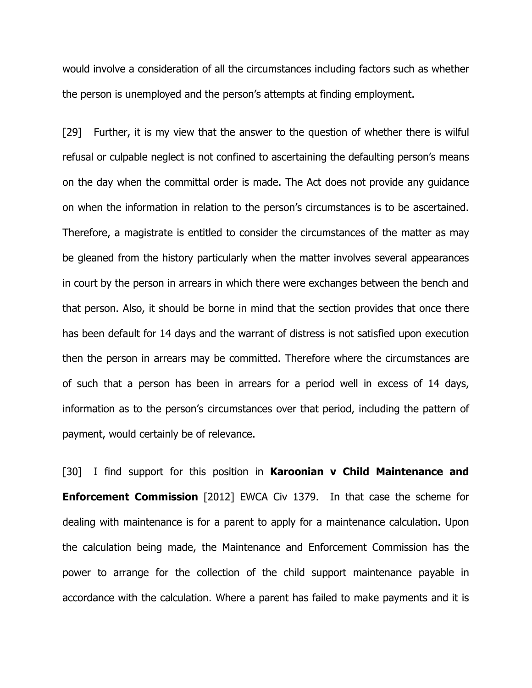would involve a consideration of all the circumstances including factors such as whether the person is unemployed and the person's attempts at finding employment.

[29] Further, it is my view that the answer to the question of whether there is wilful refusal or culpable neglect is not confined to ascertaining the defaulting person's means on the day when the committal order is made. The Act does not provide any guidance on when the information in relation to the person's circumstances is to be ascertained. Therefore, a magistrate is entitled to consider the circumstances of the matter as may be gleaned from the history particularly when the matter involves several appearances in court by the person in arrears in which there were exchanges between the bench and that person. Also, it should be borne in mind that the section provides that once there has been default for 14 days and the warrant of distress is not satisfied upon execution then the person in arrears may be committed. Therefore where the circumstances are of such that a person has been in arrears for a period well in excess of 14 days, information as to the person's circumstances over that period, including the pattern of payment, would certainly be of relevance.

[30] I find support for this position in **Karoonian v Child Maintenance and Enforcement Commission** [2012] EWCA Civ 1379. In that case the scheme for dealing with maintenance is for a parent to apply for a maintenance calculation. Upon the calculation being made, the Maintenance and Enforcement Commission has the power to arrange for the collection of the child support maintenance payable in accordance with the calculation. Where a parent has failed to make payments and it is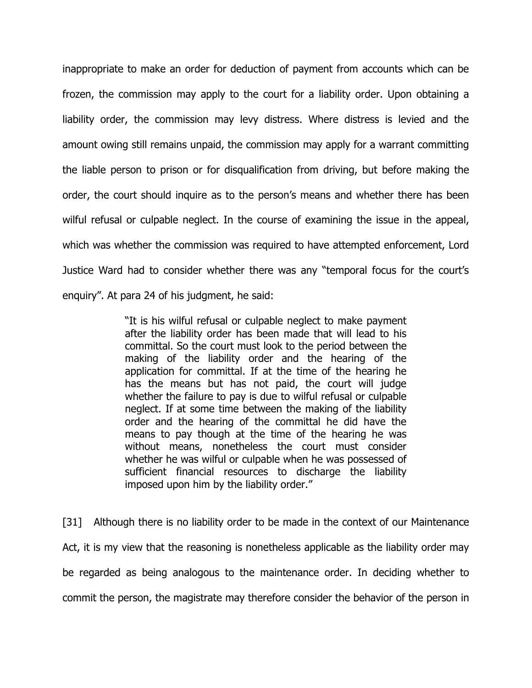inappropriate to make an order for deduction of payment from accounts which can be frozen, the commission may apply to the court for a liability order. Upon obtaining a liability order, the commission may levy distress. Where distress is levied and the amount owing still remains unpaid, the commission may apply for a warrant committing the liable person to prison or for disqualification from driving, but before making the order, the court should inquire as to the person's means and whether there has been wilful refusal or culpable neglect. In the course of examining the issue in the appeal, which was whether the commission was required to have attempted enforcement, Lord Justice Ward had to consider whether there was any "temporal focus for the court's enquiry". At para 24 of his judgment, he said:

> "It is his wilful refusal or culpable neglect to make payment after the liability order has been made that will lead to his committal. So the court must look to the period between the making of the liability order and the hearing of the application for committal. If at the time of the hearing he has the means but has not paid, the court will judge whether the failure to pay is due to wilful refusal or culpable neglect. If at some time between the making of the liability order and the hearing of the committal he did have the means to pay though at the time of the hearing he was without means, nonetheless the court must consider whether he was wilful or culpable when he was possessed of sufficient financial resources to discharge the liability imposed upon him by the liability order."

[31] Although there is no liability order to be made in the context of our Maintenance Act, it is my view that the reasoning is nonetheless applicable as the liability order may be regarded as being analogous to the maintenance order. In deciding whether to commit the person, the magistrate may therefore consider the behavior of the person in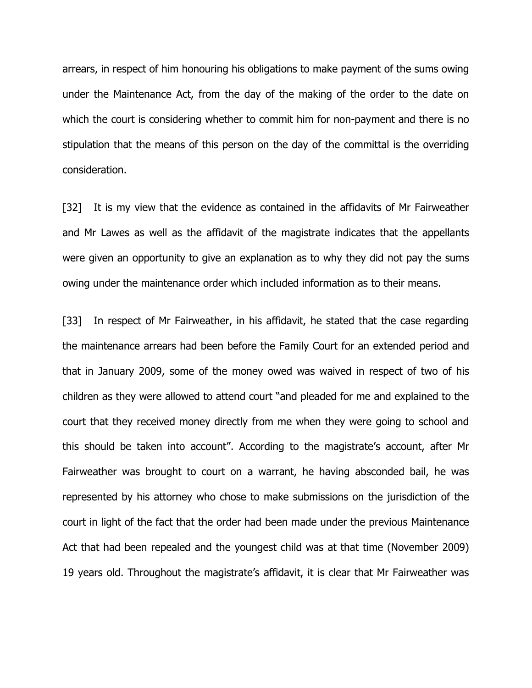arrears, in respect of him honouring his obligations to make payment of the sums owing under the Maintenance Act, from the day of the making of the order to the date on which the court is considering whether to commit him for non-payment and there is no stipulation that the means of this person on the day of the committal is the overriding consideration.

[32] It is my view that the evidence as contained in the affidavits of Mr Fairweather and Mr Lawes as well as the affidavit of the magistrate indicates that the appellants were given an opportunity to give an explanation as to why they did not pay the sums owing under the maintenance order which included information as to their means.

[33] In respect of Mr Fairweather, in his affidavit, he stated that the case regarding the maintenance arrears had been before the Family Court for an extended period and that in January 2009, some of the money owed was waived in respect of two of his children as they were allowed to attend court "and pleaded for me and explained to the court that they received money directly from me when they were going to school and this should be taken into account". According to the magistrate's account, after Mr Fairweather was brought to court on a warrant, he having absconded bail, he was represented by his attorney who chose to make submissions on the jurisdiction of the court in light of the fact that the order had been made under the previous Maintenance Act that had been repealed and the youngest child was at that time (November 2009) 19 years old. Throughout the magistrate's affidavit, it is clear that Mr Fairweather was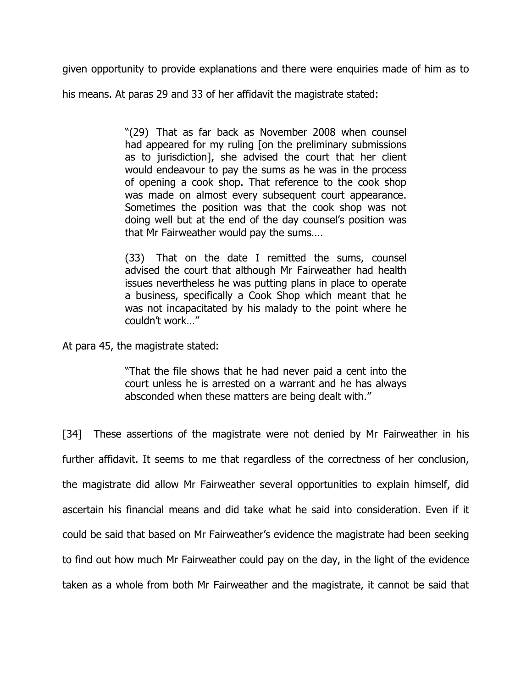given opportunity to provide explanations and there were enquiries made of him as to

his means. At paras 29 and 33 of her affidavit the magistrate stated:

"(29) That as far back as November 2008 when counsel had appeared for my ruling [on the preliminary submissions as to jurisdiction], she advised the court that her client would endeavour to pay the sums as he was in the process of opening a cook shop. That reference to the cook shop was made on almost every subsequent court appearance. Sometimes the position was that the cook shop was not doing well but at the end of the day counsel's position was that Mr Fairweather would pay the sums….

(33) That on the date I remitted the sums, counsel advised the court that although Mr Fairweather had health issues nevertheless he was putting plans in place to operate a business, specifically a Cook Shop which meant that he was not incapacitated by his malady to the point where he couldn't work…"

At para 45, the magistrate stated:

"That the file shows that he had never paid a cent into the court unless he is arrested on a warrant and he has always absconded when these matters are being dealt with."

[34] These assertions of the magistrate were not denied by Mr Fairweather in his further affidavit. It seems to me that regardless of the correctness of her conclusion, the magistrate did allow Mr Fairweather several opportunities to explain himself, did ascertain his financial means and did take what he said into consideration. Even if it could be said that based on Mr Fairweather's evidence the magistrate had been seeking to find out how much Mr Fairweather could pay on the day, in the light of the evidence taken as a whole from both Mr Fairweather and the magistrate, it cannot be said that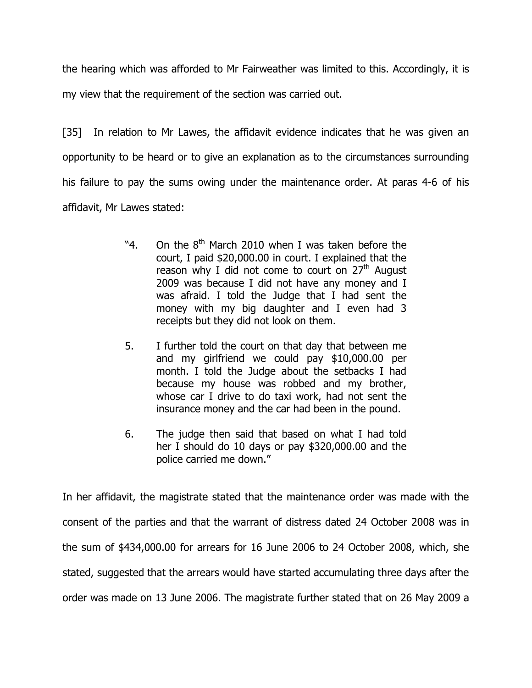the hearing which was afforded to Mr Fairweather was limited to this. Accordingly, it is my view that the requirement of the section was carried out.

[35] In relation to Mr Lawes, the affidavit evidence indicates that he was given an opportunity to be heard or to give an explanation as to the circumstances surrounding his failure to pay the sums owing under the maintenance order. At paras 4-6 of his affidavit, Mr Lawes stated:

- "4. On the  $8<sup>th</sup>$  March 2010 when I was taken before the court, I paid \$20,000.00 in court. I explained that the reason why I did not come to court on  $27<sup>th</sup>$  August 2009 was because I did not have any money and I was afraid. I told the Judge that I had sent the money with my big daughter and I even had 3 receipts but they did not look on them.
- 5. I further told the court on that day that between me and my girlfriend we could pay \$10,000.00 per month. I told the Judge about the setbacks I had because my house was robbed and my brother, whose car I drive to do taxi work, had not sent the insurance money and the car had been in the pound.
- 6. The judge then said that based on what I had told her I should do 10 days or pay \$320,000.00 and the police carried me down."

In her affidavit, the magistrate stated that the maintenance order was made with the consent of the parties and that the warrant of distress dated 24 October 2008 was in the sum of \$434,000.00 for arrears for 16 June 2006 to 24 October 2008, which, she stated, suggested that the arrears would have started accumulating three days after the order was made on 13 June 2006. The magistrate further stated that on 26 May 2009 a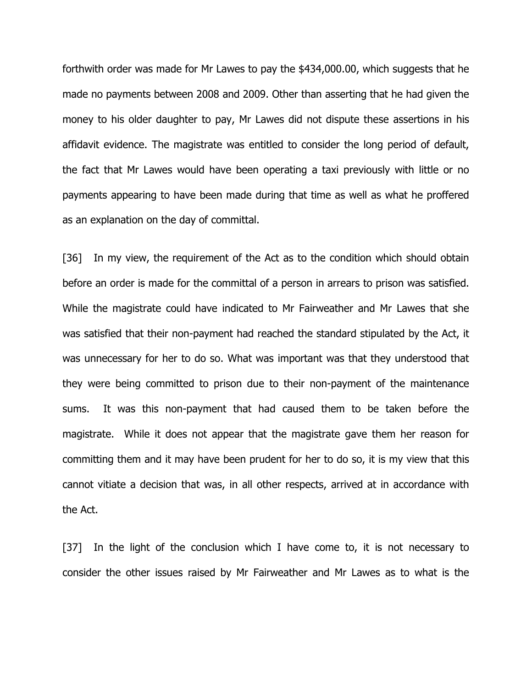forthwith order was made for Mr Lawes to pay the \$434,000.00, which suggests that he made no payments between 2008 and 2009. Other than asserting that he had given the money to his older daughter to pay, Mr Lawes did not dispute these assertions in his affidavit evidence. The magistrate was entitled to consider the long period of default, the fact that Mr Lawes would have been operating a taxi previously with little or no payments appearing to have been made during that time as well as what he proffered as an explanation on the day of committal.

[36] In my view, the requirement of the Act as to the condition which should obtain before an order is made for the committal of a person in arrears to prison was satisfied. While the magistrate could have indicated to Mr Fairweather and Mr Lawes that she was satisfied that their non-payment had reached the standard stipulated by the Act, it was unnecessary for her to do so. What was important was that they understood that they were being committed to prison due to their non-payment of the maintenance sums. It was this non-payment that had caused them to be taken before the magistrate. While it does not appear that the magistrate gave them her reason for committing them and it may have been prudent for her to do so, it is my view that this cannot vitiate a decision that was, in all other respects, arrived at in accordance with the Act.

[37] In the light of the conclusion which I have come to, it is not necessary to consider the other issues raised by Mr Fairweather and Mr Lawes as to what is the